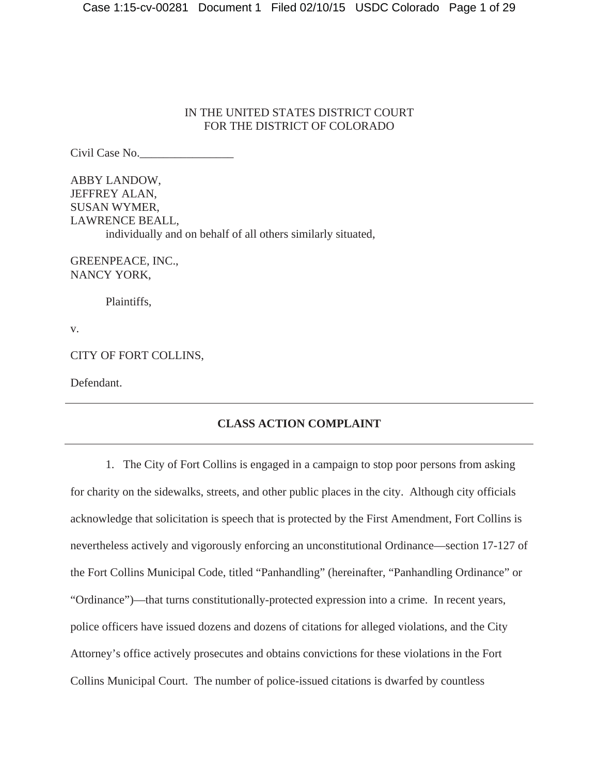# IN THE UNITED STATES DISTRICT COURT FOR THE DISTRICT OF COLORADO

Civil Case No.\_\_\_\_\_\_\_\_\_\_\_\_\_\_\_\_

ABBY LANDOW, JEFFREY ALAN, SUSAN WYMER, LAWRENCE BEALL, individually and on behalf of all others similarly situated,

GREENPEACE, INC., NANCY YORK,

Plaintiffs,

v.

CITY OF FORT COLLINS,

Defendant.

# **CLASS ACTION COMPLAINT**

1. The City of Fort Collins is engaged in a campaign to stop poor persons from asking for charity on the sidewalks, streets, and other public places in the city. Although city officials acknowledge that solicitation is speech that is protected by the First Amendment, Fort Collins is nevertheless actively and vigorously enforcing an unconstitutional Ordinance—section 17-127 of the Fort Collins Municipal Code, titled "Panhandling" (hereinafter, "Panhandling Ordinance" or "Ordinance")—that turns constitutionally-protected expression into a crime. In recent years, police officers have issued dozens and dozens of citations for alleged violations, and the City Attorney's office actively prosecutes and obtains convictions for these violations in the Fort Collins Municipal Court. The number of police-issued citations is dwarfed by countless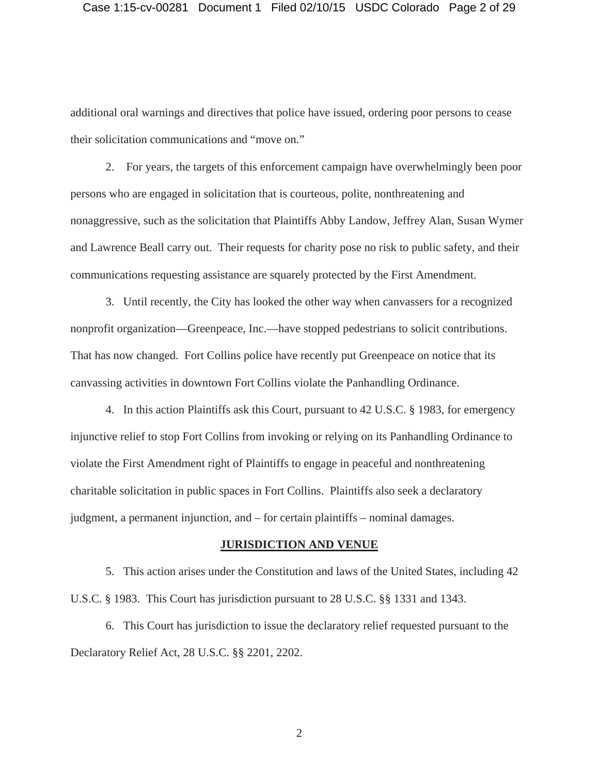additional oral warnings and directives that police have issued, ordering poor persons to cease their solicitation communications and "move on."

2. For years, the targets of this enforcement campaign have overwhelmingly been poor persons who are engaged in solicitation that is courteous, polite, nonthreatening and nonaggressive, such as the solicitation that Plaintiffs Abby Landow, Jeffrey Alan, Susan Wymer and Lawrence Beall carry out. Their requests for charity pose no risk to public safety, and their communications requesting assistance are squarely protected by the First Amendment.

3. Until recently, the City has looked the other way when canvassers for a recognized nonprofit organization—Greenpeace, Inc.—have stopped pedestrians to solicit contributions. That has now changed. Fort Collins police have recently put Greenpeace on notice that its canvassing activities in downtown Fort Collins violate the Panhandling Ordinance.

4. In this action Plaintiffs ask this Court, pursuant to 42 U.S.C. § 1983, for emergency injunctive relief to stop Fort Collins from invoking or relying on its Panhandling Ordinance to violate the First Amendment right of Plaintiffs to engage in peaceful and nonthreatening charitable solicitation in public spaces in Fort Collins. Plaintiffs also seek a declaratory judgment, a permanent injunction, and – for certain plaintiffs – nominal damages.

#### **JURISDICTION AND VENUE**

5. This action arises under the Constitution and laws of the United States, including 42 U.S.C. § 1983. This Court has jurisdiction pursuant to 28 U.S.C. §§ 1331 and 1343.

6. This Court has jurisdiction to issue the declaratory relief requested pursuant to the Declaratory Relief Act, 28 U.S.C. §§ 2201, 2202.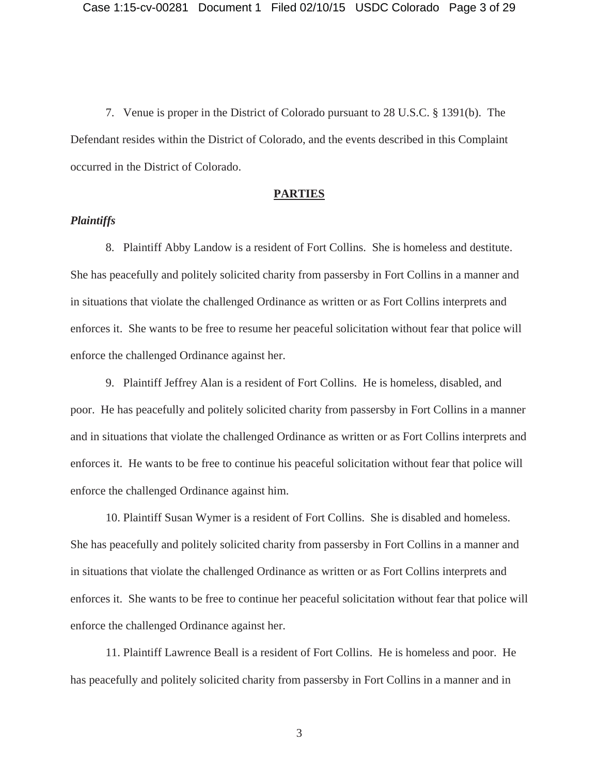7. Venue is proper in the District of Colorado pursuant to 28 U.S.C. § 1391(b). The Defendant resides within the District of Colorado, and the events described in this Complaint occurred in the District of Colorado.

#### **PARTIES**

# *Plaintiffs*

8. Plaintiff Abby Landow is a resident of Fort Collins. She is homeless and destitute. She has peacefully and politely solicited charity from passersby in Fort Collins in a manner and in situations that violate the challenged Ordinance as written or as Fort Collins interprets and enforces it. She wants to be free to resume her peaceful solicitation without fear that police will enforce the challenged Ordinance against her.

9. Plaintiff Jeffrey Alan is a resident of Fort Collins. He is homeless, disabled, and poor. He has peacefully and politely solicited charity from passersby in Fort Collins in a manner and in situations that violate the challenged Ordinance as written or as Fort Collins interprets and enforces it. He wants to be free to continue his peaceful solicitation without fear that police will enforce the challenged Ordinance against him.

10. Plaintiff Susan Wymer is a resident of Fort Collins. She is disabled and homeless. She has peacefully and politely solicited charity from passersby in Fort Collins in a manner and in situations that violate the challenged Ordinance as written or as Fort Collins interprets and enforces it. She wants to be free to continue her peaceful solicitation without fear that police will enforce the challenged Ordinance against her.

11. Plaintiff Lawrence Beall is a resident of Fort Collins. He is homeless and poor. He has peacefully and politely solicited charity from passersby in Fort Collins in a manner and in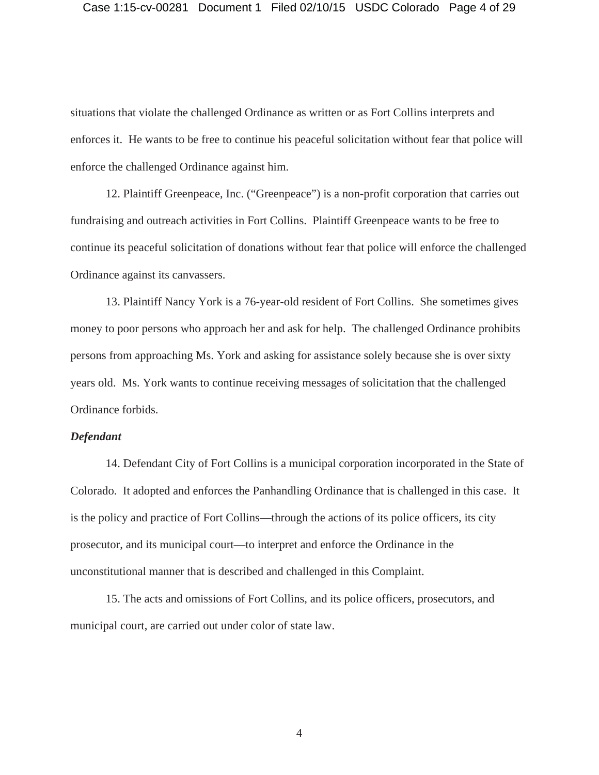situations that violate the challenged Ordinance as written or as Fort Collins interprets and enforces it. He wants to be free to continue his peaceful solicitation without fear that police will enforce the challenged Ordinance against him.

12. Plaintiff Greenpeace, Inc. ("Greenpeace") is a non-profit corporation that carries out fundraising and outreach activities in Fort Collins. Plaintiff Greenpeace wants to be free to continue its peaceful solicitation of donations without fear that police will enforce the challenged Ordinance against its canvassers.

13. Plaintiff Nancy York is a 76-year-old resident of Fort Collins. She sometimes gives money to poor persons who approach her and ask for help. The challenged Ordinance prohibits persons from approaching Ms. York and asking for assistance solely because she is over sixty years old. Ms. York wants to continue receiving messages of solicitation that the challenged Ordinance forbids.

## *Defendant*

14. Defendant City of Fort Collins is a municipal corporation incorporated in the State of Colorado. It adopted and enforces the Panhandling Ordinance that is challenged in this case. It is the policy and practice of Fort Collins—through the actions of its police officers, its city prosecutor, and its municipal court—to interpret and enforce the Ordinance in the unconstitutional manner that is described and challenged in this Complaint.

15. The acts and omissions of Fort Collins, and its police officers, prosecutors, and municipal court, are carried out under color of state law.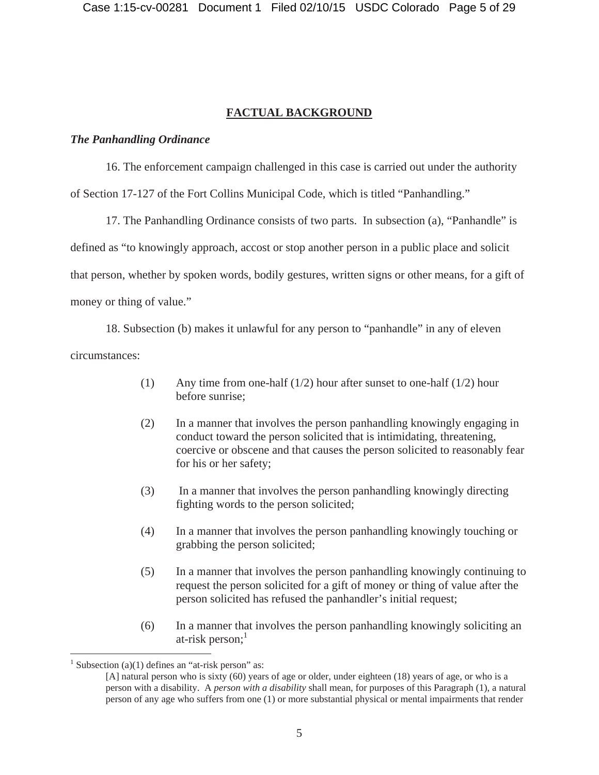# **FACTUAL BACKGROUND**

# *The Panhandling Ordinance*

16. The enforcement campaign challenged in this case is carried out under the authority of Section 17-127 of the Fort Collins Municipal Code, which is titled "Panhandling."

17. The Panhandling Ordinance consists of two parts. In subsection (a), "Panhandle" is defined as "to knowingly approach, accost or stop another person in a public place and solicit that person, whether by spoken words, bodily gestures, written signs or other means, for a gift of money or thing of value."

18. Subsection (b) makes it unlawful for any person to "panhandle" in any of eleven circumstances:

- (1) Any time from one-half (1/2) hour after sunset to one-half (1/2) hour before sunrise;
- (2) In a manner that involves the person panhandling knowingly engaging in conduct toward the person solicited that is intimidating, threatening, coercive or obscene and that causes the person solicited to reasonably fear for his or her safety;
- (3) In a manner that involves the person panhandling knowingly directing fighting words to the person solicited;
- (4) In a manner that involves the person panhandling knowingly touching or grabbing the person solicited;
- (5) In a manner that involves the person panhandling knowingly continuing to request the person solicited for a gift of money or thing of value after the person solicited has refused the panhandler's initial request;
- (6) In a manner that involves the person panhandling knowingly soliciting an at-risk person; $<sup>1</sup>$ </sup>

<sup>&</sup>lt;sup>1</sup> Subsection (a)(1) defines an "at-risk person" as:

<sup>[</sup>A] natural person who is sixty (60) years of age or older, under eighteen (18) years of age, or who is a person with a disability. A *person with a disability* shall mean, for purposes of this Paragraph (1), a natural person of any age who suffers from one (1) or more substantial physical or mental impairments that render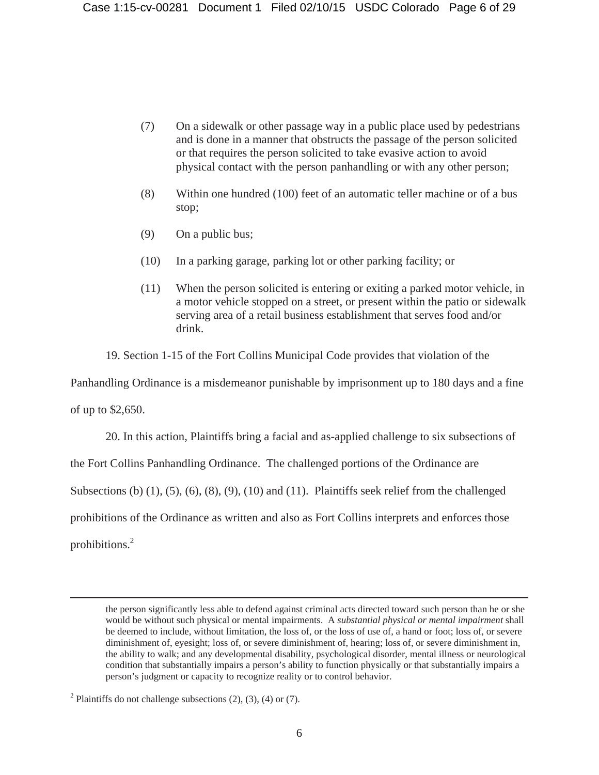- (7) On a sidewalk or other passage way in a public place used by pedestrians and is done in a manner that obstructs the passage of the person solicited or that requires the person solicited to take evasive action to avoid physical contact with the person panhandling or with any other person;
- (8) Within one hundred (100) feet of an automatic teller machine or of a bus stop;
- (9) On a public bus;
- (10) In a parking garage, parking lot or other parking facility; or
- (11) When the person solicited is entering or exiting a parked motor vehicle, in a motor vehicle stopped on a street, or present within the patio or sidewalk serving area of a retail business establishment that serves food and/or drink.

19. Section 1-15 of the Fort Collins Municipal Code provides that violation of the

Panhandling Ordinance is a misdemeanor punishable by imprisonment up to 180 days and a fine

of up to \$2,650.

20. In this action, Plaintiffs bring a facial and as-applied challenge to six subsections of

the Fort Collins Panhandling Ordinance. The challenged portions of the Ordinance are

Subsections (b) (1), (5), (6), (8), (9), (10) and (11). Plaintiffs seek relief from the challenged

prohibitions of the Ordinance as written and also as Fort Collins interprets and enforces those

prohibitions.2

the person significantly less able to defend against criminal acts directed toward such person than he or she would be without such physical or mental impairments. A *substantial physical or mental impairment* shall be deemed to include, without limitation, the loss of, or the loss of use of, a hand or foot; loss of, or severe diminishment of, eyesight; loss of, or severe diminishment of, hearing; loss of, or severe diminishment in, the ability to walk; and any developmental disability, psychological disorder, mental illness or neurological condition that substantially impairs a person's ability to function physically or that substantially impairs a person's judgment or capacity to recognize reality or to control behavior.

<sup>&</sup>lt;sup>2</sup> Plaintiffs do not challenge subsections  $(2)$ ,  $(3)$ ,  $(4)$  or  $(7)$ .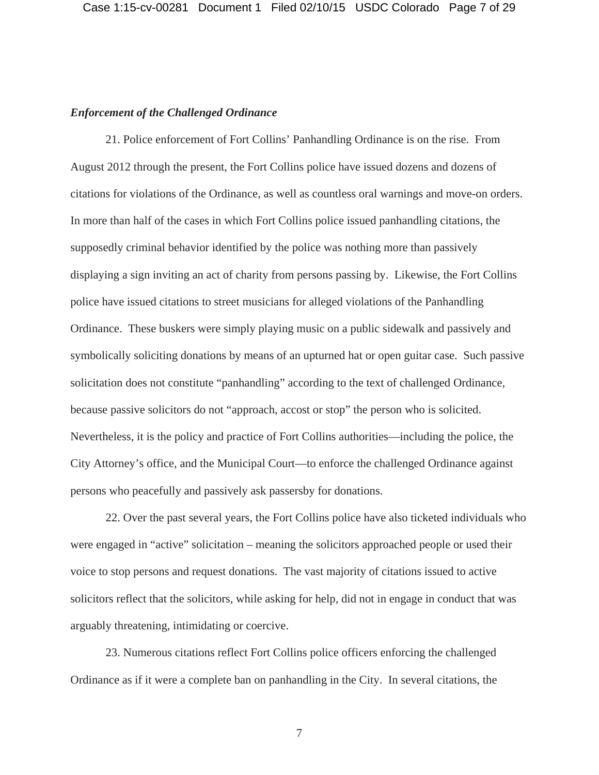## *Enforcement of the Challenged Ordinance*

21. Police enforcement of Fort Collins' Panhandling Ordinance is on the rise. From August 2012 through the present, the Fort Collins police have issued dozens and dozens of citations for violations of the Ordinance, as well as countless oral warnings and move-on orders. In more than half of the cases in which Fort Collins police issued panhandling citations, the supposedly criminal behavior identified by the police was nothing more than passively displaying a sign inviting an act of charity from persons passing by. Likewise, the Fort Collins police have issued citations to street musicians for alleged violations of the Panhandling Ordinance. These buskers were simply playing music on a public sidewalk and passively and symbolically soliciting donations by means of an upturned hat or open guitar case. Such passive solicitation does not constitute "panhandling" according to the text of challenged Ordinance, because passive solicitors do not "approach, accost or stop" the person who is solicited. Nevertheless, it is the policy and practice of Fort Collins authorities—including the police, the City Attorney's office, and the Municipal Court—to enforce the challenged Ordinance against persons who peacefully and passively ask passersby for donations.

22. Over the past several years, the Fort Collins police have also ticketed individuals who were engaged in "active" solicitation – meaning the solicitors approached people or used their voice to stop persons and request donations. The vast majority of citations issued to active solicitors reflect that the solicitors, while asking for help, did not in engage in conduct that was arguably threatening, intimidating or coercive.

23. Numerous citations reflect Fort Collins police officers enforcing the challenged Ordinance as if it were a complete ban on panhandling in the City. In several citations, the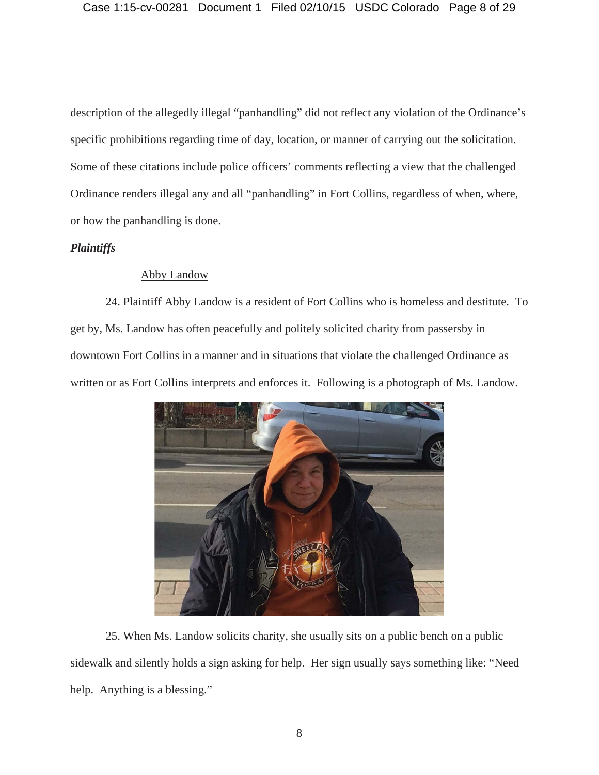description of the allegedly illegal "panhandling" did not reflect any violation of the Ordinance's specific prohibitions regarding time of day, location, or manner of carrying out the solicitation. Some of these citations include police officers' comments reflecting a view that the challenged Ordinance renders illegal any and all "panhandling" in Fort Collins, regardless of when, where, or how the panhandling is done.

# *Plaintiffs*

# Abby Landow

24. Plaintiff Abby Landow is a resident of Fort Collins who is homeless and destitute. To get by, Ms. Landow has often peacefully and politely solicited charity from passersby in downtown Fort Collins in a manner and in situations that violate the challenged Ordinance as written or as Fort Collins interprets and enforces it. Following is a photograph of Ms. Landow.



25. When Ms. Landow solicits charity, she usually sits on a public bench on a public sidewalk and silently holds a sign asking for help. Her sign usually says something like: "Need help. Anything is a blessing."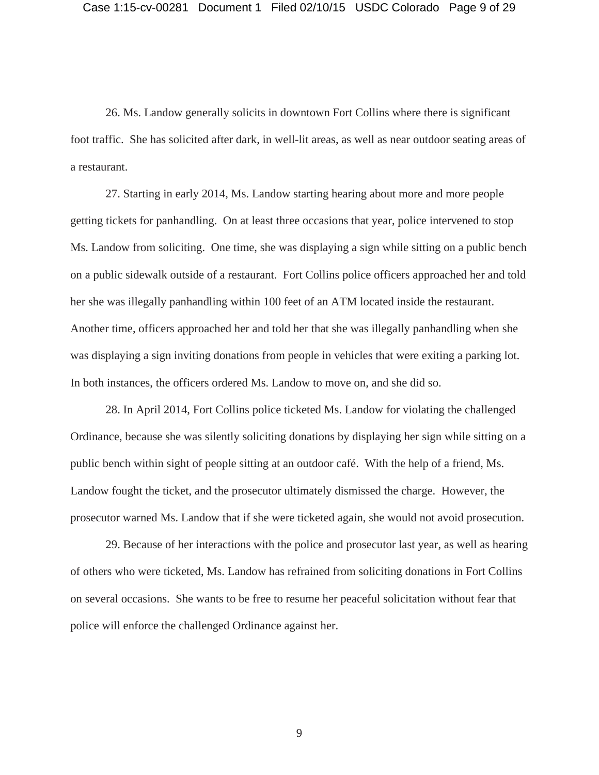26. Ms. Landow generally solicits in downtown Fort Collins where there is significant foot traffic. She has solicited after dark, in well-lit areas, as well as near outdoor seating areas of a restaurant.

27. Starting in early 2014, Ms. Landow starting hearing about more and more people getting tickets for panhandling. On at least three occasions that year, police intervened to stop Ms. Landow from soliciting. One time, she was displaying a sign while sitting on a public bench on a public sidewalk outside of a restaurant. Fort Collins police officers approached her and told her she was illegally panhandling within 100 feet of an ATM located inside the restaurant. Another time, officers approached her and told her that she was illegally panhandling when she was displaying a sign inviting donations from people in vehicles that were exiting a parking lot. In both instances, the officers ordered Ms. Landow to move on, and she did so.

28. In April 2014, Fort Collins police ticketed Ms. Landow for violating the challenged Ordinance, because she was silently soliciting donations by displaying her sign while sitting on a public bench within sight of people sitting at an outdoor café. With the help of a friend, Ms. Landow fought the ticket, and the prosecutor ultimately dismissed the charge. However, the prosecutor warned Ms. Landow that if she were ticketed again, she would not avoid prosecution.

29. Because of her interactions with the police and prosecutor last year, as well as hearing of others who were ticketed, Ms. Landow has refrained from soliciting donations in Fort Collins on several occasions. She wants to be free to resume her peaceful solicitation without fear that police will enforce the challenged Ordinance against her.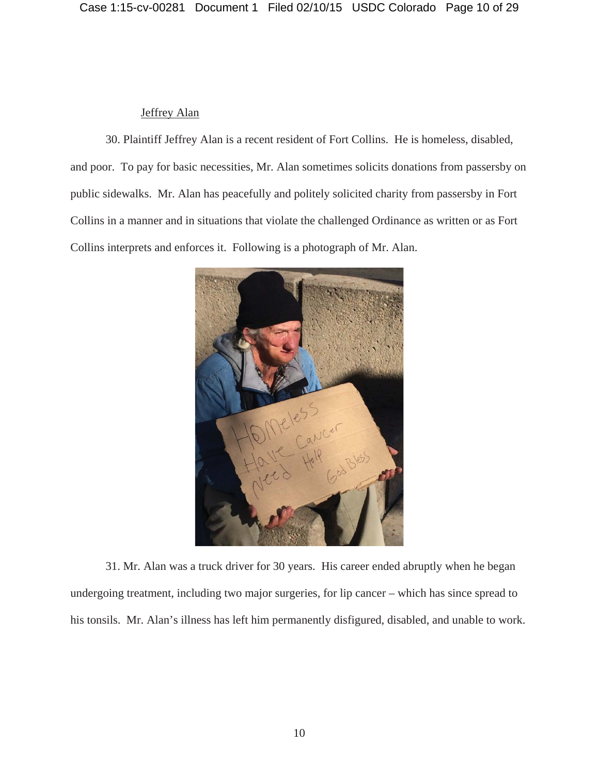# Jeffrey Alan

30. Plaintiff Jeffrey Alan is a recent resident of Fort Collins. He is homeless, disabled, and poor. To pay for basic necessities, Mr. Alan sometimes solicits donations from passersby on public sidewalks. Mr. Alan has peacefully and politely solicited charity from passersby in Fort Collins in a manner and in situations that violate the challenged Ordinance as written or as Fort Collins interprets and enforces it. Following is a photograph of Mr. Alan.



31. Mr. Alan was a truck driver for 30 years. His career ended abruptly when he began undergoing treatment, including two major surgeries, for lip cancer – which has since spread to his tonsils. Mr. Alan's illness has left him permanently disfigured, disabled, and unable to work.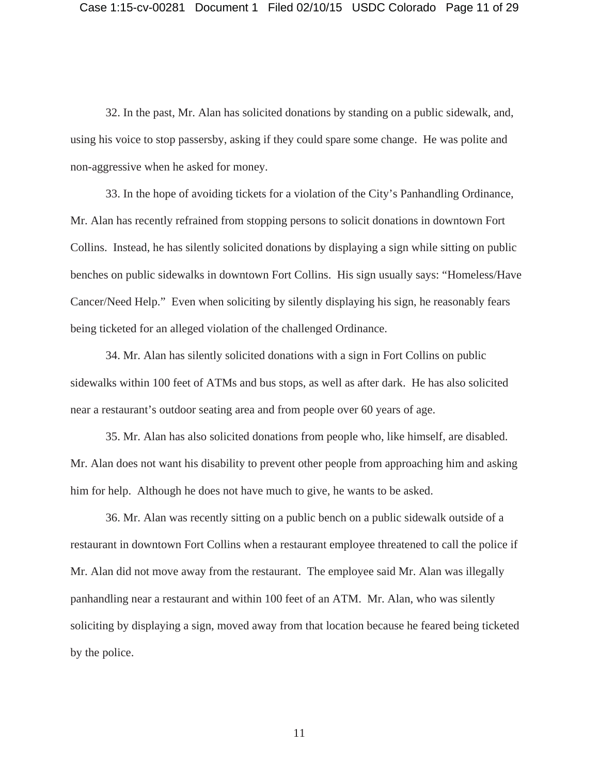32. In the past, Mr. Alan has solicited donations by standing on a public sidewalk, and, using his voice to stop passersby, asking if they could spare some change. He was polite and non-aggressive when he asked for money.

33. In the hope of avoiding tickets for a violation of the City's Panhandling Ordinance, Mr. Alan has recently refrained from stopping persons to solicit donations in downtown Fort Collins. Instead, he has silently solicited donations by displaying a sign while sitting on public benches on public sidewalks in downtown Fort Collins. His sign usually says: "Homeless/Have Cancer/Need Help." Even when soliciting by silently displaying his sign, he reasonably fears being ticketed for an alleged violation of the challenged Ordinance.

34. Mr. Alan has silently solicited donations with a sign in Fort Collins on public sidewalks within 100 feet of ATMs and bus stops, as well as after dark. He has also solicited near a restaurant's outdoor seating area and from people over 60 years of age.

35. Mr. Alan has also solicited donations from people who, like himself, are disabled. Mr. Alan does not want his disability to prevent other people from approaching him and asking him for help. Although he does not have much to give, he wants to be asked.

36. Mr. Alan was recently sitting on a public bench on a public sidewalk outside of a restaurant in downtown Fort Collins when a restaurant employee threatened to call the police if Mr. Alan did not move away from the restaurant. The employee said Mr. Alan was illegally panhandling near a restaurant and within 100 feet of an ATM. Mr. Alan, who was silently soliciting by displaying a sign, moved away from that location because he feared being ticketed by the police.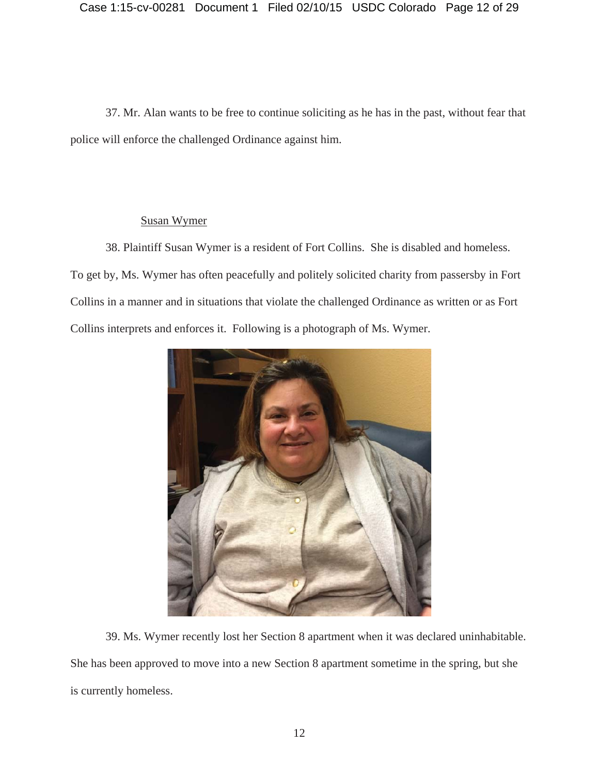37. Mr. Alan wants to be free to continue soliciting as he has in the past, without fear that police will enforce the challenged Ordinance against him.

# Susan Wymer

38. Plaintiff Susan Wymer is a resident of Fort Collins. She is disabled and homeless. To get by, Ms. Wymer has often peacefully and politely solicited charity from passersby in Fort Collins in a manner and in situations that violate the challenged Ordinance as written or as Fort Collins interprets and enforces it. Following is a photograph of Ms. Wymer.



39. Ms. Wymer recently lost her Section 8 apartment when it was declared uninhabitable. She has been approved to move into a new Section 8 apartment sometime in the spring, but she is currently homeless.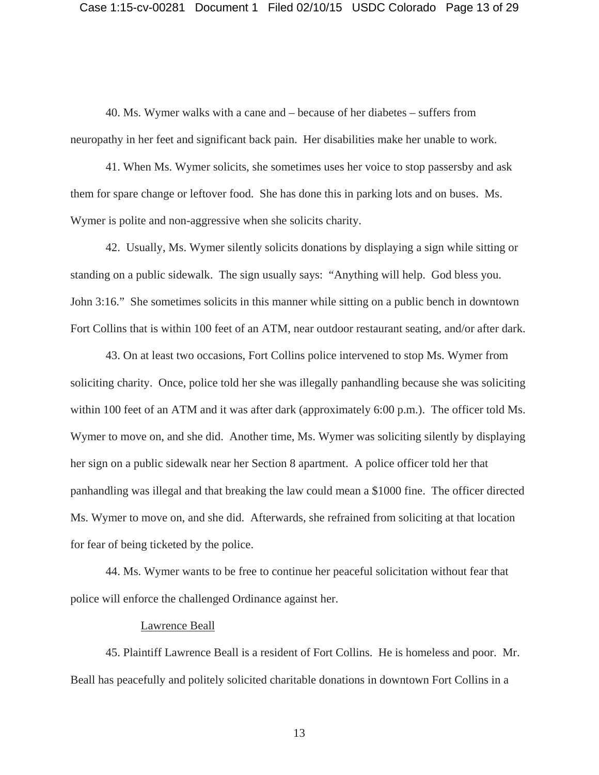## Case 1:15-cv-00281 Document 1 Filed 02/10/15 USDC Colorado Page 13 of 29

40. Ms. Wymer walks with a cane and – because of her diabetes – suffers from neuropathy in her feet and significant back pain. Her disabilities make her unable to work.

41. When Ms. Wymer solicits, she sometimes uses her voice to stop passersby and ask them for spare change or leftover food. She has done this in parking lots and on buses. Ms. Wymer is polite and non-aggressive when she solicits charity.

42. Usually, Ms. Wymer silently solicits donations by displaying a sign while sitting or standing on a public sidewalk. The sign usually says: "Anything will help. God bless you. John 3:16." She sometimes solicits in this manner while sitting on a public bench in downtown Fort Collins that is within 100 feet of an ATM, near outdoor restaurant seating, and/or after dark.

43. On at least two occasions, Fort Collins police intervened to stop Ms. Wymer from soliciting charity. Once, police told her she was illegally panhandling because she was soliciting within 100 feet of an ATM and it was after dark (approximately 6:00 p.m.). The officer told Ms. Wymer to move on, and she did. Another time, Ms. Wymer was soliciting silently by displaying her sign on a public sidewalk near her Section 8 apartment. A police officer told her that panhandling was illegal and that breaking the law could mean a \$1000 fine. The officer directed Ms. Wymer to move on, and she did. Afterwards, she refrained from soliciting at that location for fear of being ticketed by the police.

44. Ms. Wymer wants to be free to continue her peaceful solicitation without fear that police will enforce the challenged Ordinance against her.

## Lawrence Beall

45. Plaintiff Lawrence Beall is a resident of Fort Collins. He is homeless and poor. Mr. Beall has peacefully and politely solicited charitable donations in downtown Fort Collins in a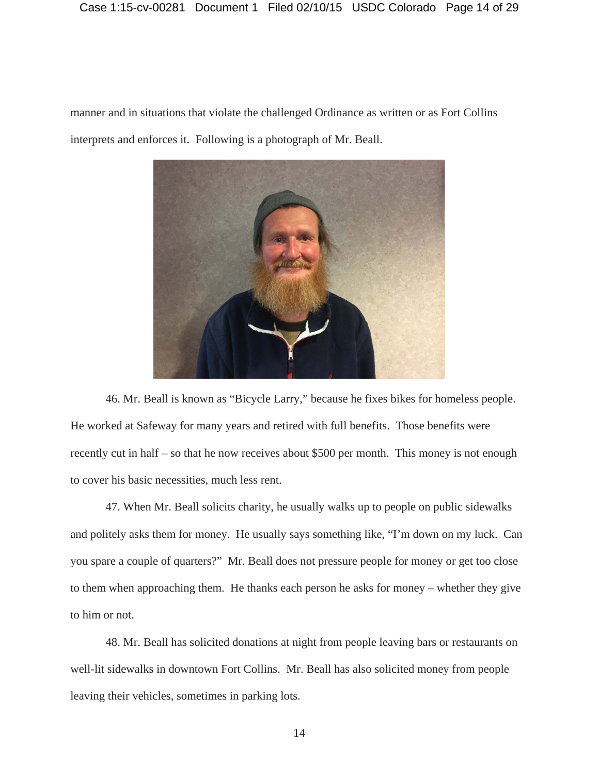# Case 1:15-cv-00281 Document 1 Filed 02/10/15 USDC Colorado Page 14 of 29

manner and in situations that violate the challenged Ordinance as written or as Fort Collins interprets and enforces it. Following is a photograph of Mr. Beall.



46. Mr. Beall is known as "Bicycle Larry," because he fixes bikes for homeless people. He worked at Safeway for many years and retired with full benefits. Those benefits were recently cut in half – so that he now receives about \$500 per month. This money is not enough to cover his basic necessities, much less rent.

47. When Mr. Beall solicits charity, he usually walks up to people on public sidewalks and politely asks them for money. He usually says something like, "I'm down on my luck. Can you spare a couple of quarters?" Mr. Beall does not pressure people for money or get too close to them when approaching them. He thanks each person he asks for money – whether they give to him or not.

48. Mr. Beall has solicited donations at night from people leaving bars or restaurants on well-lit sidewalks in downtown Fort Collins. Mr. Beall has also solicited money from people leaving their vehicles, sometimes in parking lots.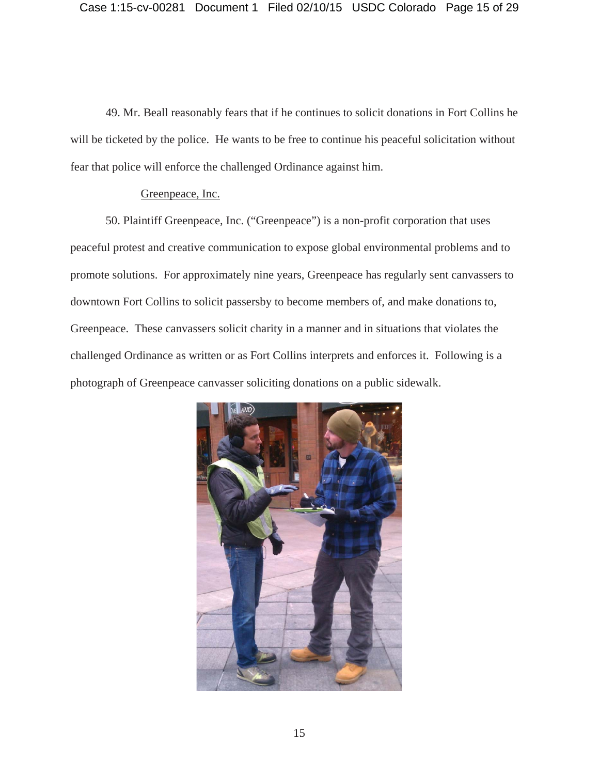49. Mr. Beall reasonably fears that if he continues to solicit donations in Fort Collins he will be ticketed by the police. He wants to be free to continue his peaceful solicitation without fear that police will enforce the challenged Ordinance against him.

## Greenpeace, Inc.

50. Plaintiff Greenpeace, Inc. ("Greenpeace") is a non-profit corporation that uses peaceful protest and creative communication to expose global environmental problems and to promote solutions. For approximately nine years, Greenpeace has regularly sent canvassers to downtown Fort Collins to solicit passersby to become members of, and make donations to, Greenpeace. These canvassers solicit charity in a manner and in situations that violates the challenged Ordinance as written or as Fort Collins interprets and enforces it. Following is a photograph of Greenpeace canvasser soliciting donations on a public sidewalk.

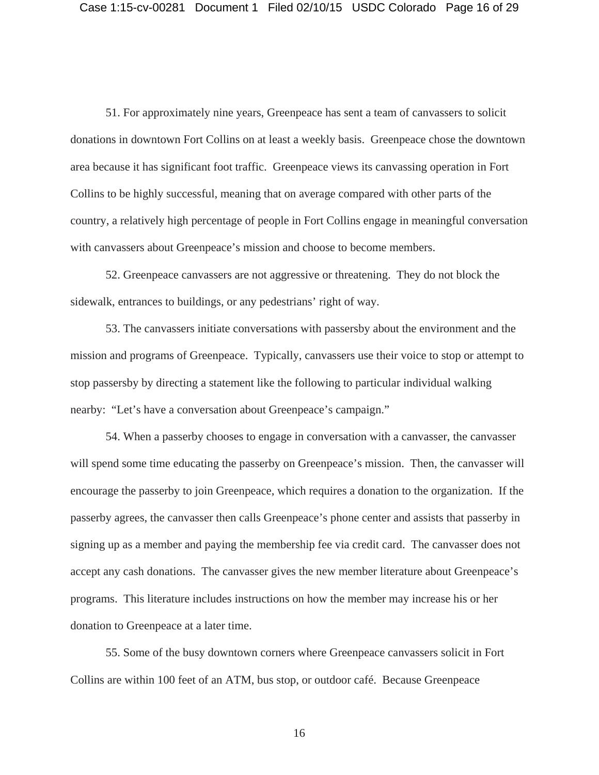51. For approximately nine years, Greenpeace has sent a team of canvassers to solicit donations in downtown Fort Collins on at least a weekly basis. Greenpeace chose the downtown area because it has significant foot traffic. Greenpeace views its canvassing operation in Fort Collins to be highly successful, meaning that on average compared with other parts of the country, a relatively high percentage of people in Fort Collins engage in meaningful conversation with canvassers about Greenpeace's mission and choose to become members.

52. Greenpeace canvassers are not aggressive or threatening. They do not block the sidewalk, entrances to buildings, or any pedestrians' right of way.

53. The canvassers initiate conversations with passersby about the environment and the mission and programs of Greenpeace. Typically, canvassers use their voice to stop or attempt to stop passersby by directing a statement like the following to particular individual walking nearby: "Let's have a conversation about Greenpeace's campaign."

54. When a passerby chooses to engage in conversation with a canvasser, the canvasser will spend some time educating the passerby on Greenpeace's mission. Then, the canvasser will encourage the passerby to join Greenpeace, which requires a donation to the organization. If the passerby agrees, the canvasser then calls Greenpeace's phone center and assists that passerby in signing up as a member and paying the membership fee via credit card. The canvasser does not accept any cash donations. The canvasser gives the new member literature about Greenpeace's programs. This literature includes instructions on how the member may increase his or her donation to Greenpeace at a later time.

55. Some of the busy downtown corners where Greenpeace canvassers solicit in Fort Collins are within 100 feet of an ATM, bus stop, or outdoor café. Because Greenpeace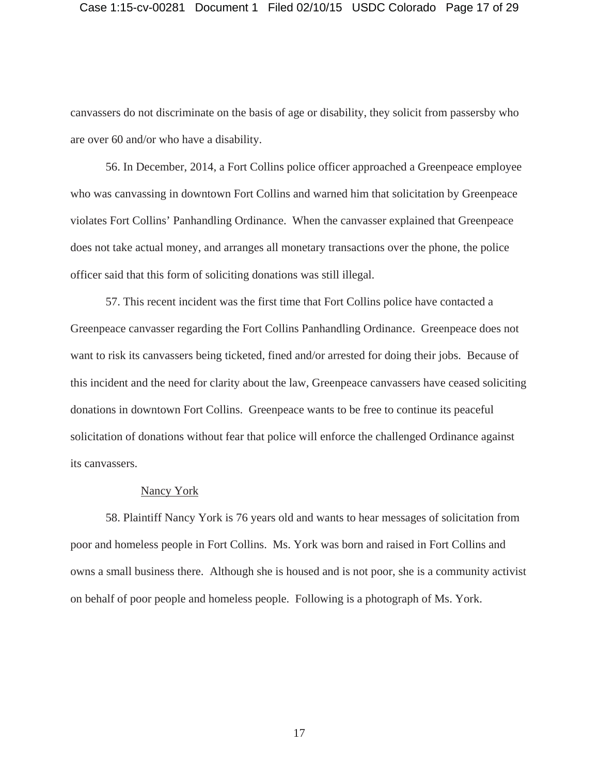## Case 1:15-cv-00281 Document 1 Filed 02/10/15 USDC Colorado Page 17 of 29

canvassers do not discriminate on the basis of age or disability, they solicit from passersby who are over 60 and/or who have a disability.

56. In December, 2014, a Fort Collins police officer approached a Greenpeace employee who was canvassing in downtown Fort Collins and warned him that solicitation by Greenpeace violates Fort Collins' Panhandling Ordinance. When the canvasser explained that Greenpeace does not take actual money, and arranges all monetary transactions over the phone, the police officer said that this form of soliciting donations was still illegal.

57. This recent incident was the first time that Fort Collins police have contacted a Greenpeace canvasser regarding the Fort Collins Panhandling Ordinance. Greenpeace does not want to risk its canvassers being ticketed, fined and/or arrested for doing their jobs. Because of this incident and the need for clarity about the law, Greenpeace canvassers have ceased soliciting donations in downtown Fort Collins. Greenpeace wants to be free to continue its peaceful solicitation of donations without fear that police will enforce the challenged Ordinance against its canvassers.

#### Nancy York

58. Plaintiff Nancy York is 76 years old and wants to hear messages of solicitation from poor and homeless people in Fort Collins. Ms. York was born and raised in Fort Collins and owns a small business there. Although she is housed and is not poor, she is a community activist on behalf of poor people and homeless people. Following is a photograph of Ms. York.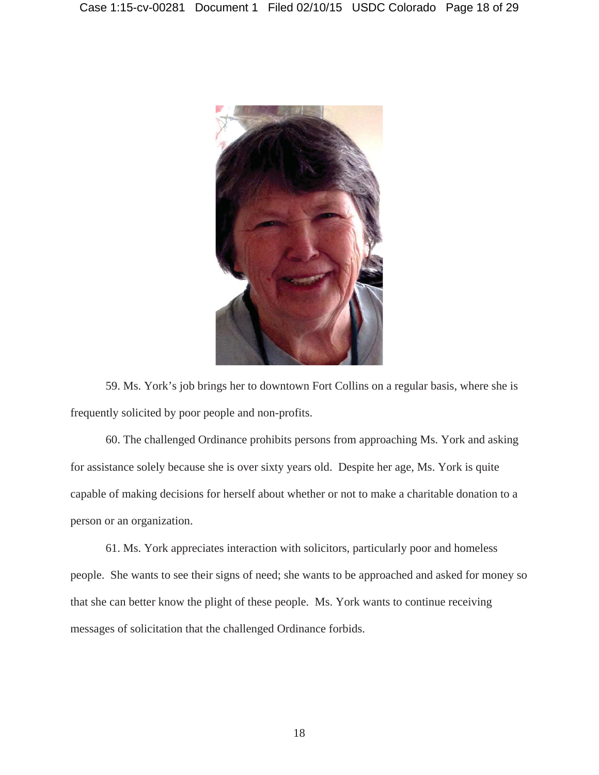

59. Ms. York's job brings her to downtown Fort Collins on a regular basis, where she is frequently solicited by poor people and non-profits.

60. The challenged Ordinance prohibits persons from approaching Ms. York and asking for assistance solely because she is over sixty years old. Despite her age, Ms. York is quite capable of making decisions for herself about whether or not to make a charitable donation to a person or an organization.

61. Ms. York appreciates interaction with solicitors, particularly poor and homeless people. She wants to see their signs of need; she wants to be approached and asked for money so that she can better know the plight of these people. Ms. York wants to continue receiving messages of solicitation that the challenged Ordinance forbids.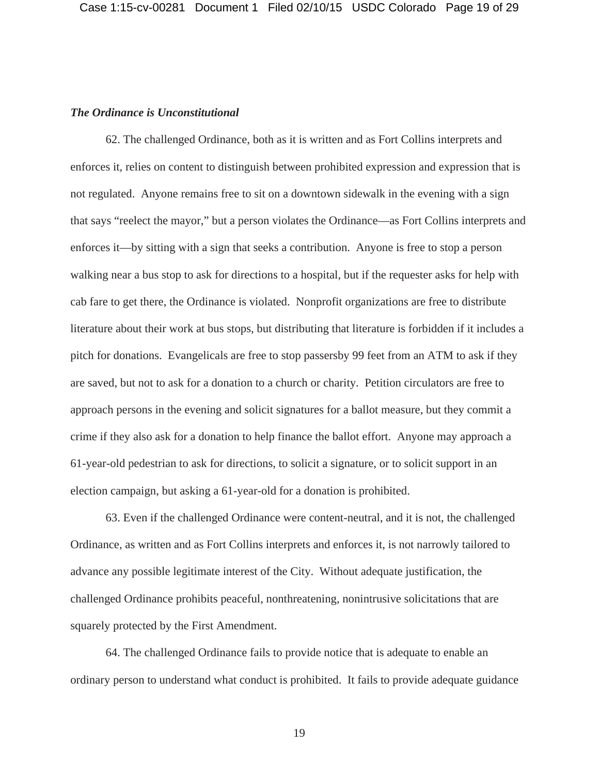# *The Ordinance is Unconstitutional*

62. The challenged Ordinance, both as it is written and as Fort Collins interprets and enforces it, relies on content to distinguish between prohibited expression and expression that is not regulated. Anyone remains free to sit on a downtown sidewalk in the evening with a sign that says "reelect the mayor," but a person violates the Ordinance—as Fort Collins interprets and enforces it—by sitting with a sign that seeks a contribution. Anyone is free to stop a person walking near a bus stop to ask for directions to a hospital, but if the requester asks for help with cab fare to get there, the Ordinance is violated. Nonprofit organizations are free to distribute literature about their work at bus stops, but distributing that literature is forbidden if it includes a pitch for donations. Evangelicals are free to stop passersby 99 feet from an ATM to ask if they are saved, but not to ask for a donation to a church or charity. Petition circulators are free to approach persons in the evening and solicit signatures for a ballot measure, but they commit a crime if they also ask for a donation to help finance the ballot effort. Anyone may approach a 61-year-old pedestrian to ask for directions, to solicit a signature, or to solicit support in an election campaign, but asking a 61-year-old for a donation is prohibited.

63. Even if the challenged Ordinance were content-neutral, and it is not, the challenged Ordinance, as written and as Fort Collins interprets and enforces it, is not narrowly tailored to advance any possible legitimate interest of the City. Without adequate justification, the challenged Ordinance prohibits peaceful, nonthreatening, nonintrusive solicitations that are squarely protected by the First Amendment.

64. The challenged Ordinance fails to provide notice that is adequate to enable an ordinary person to understand what conduct is prohibited. It fails to provide adequate guidance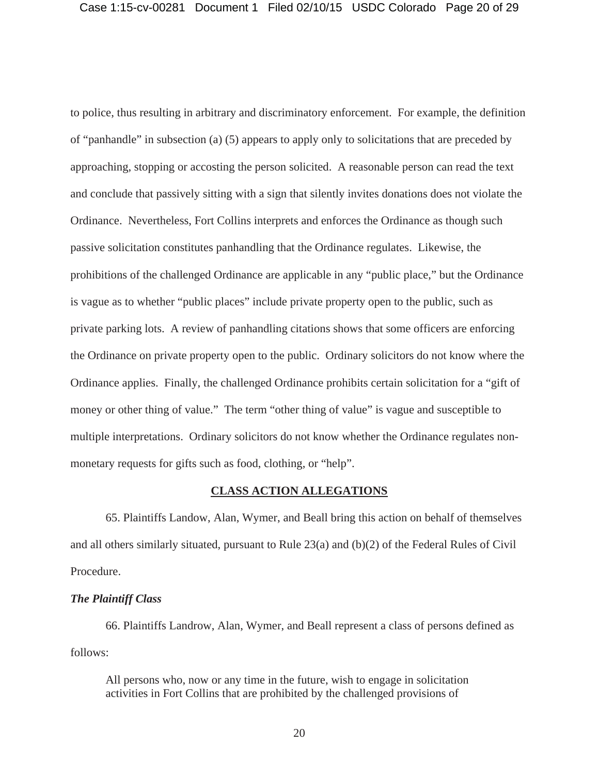to police, thus resulting in arbitrary and discriminatory enforcement. For example, the definition of "panhandle" in subsection (a) (5) appears to apply only to solicitations that are preceded by approaching, stopping or accosting the person solicited. A reasonable person can read the text and conclude that passively sitting with a sign that silently invites donations does not violate the Ordinance. Nevertheless, Fort Collins interprets and enforces the Ordinance as though such passive solicitation constitutes panhandling that the Ordinance regulates. Likewise, the prohibitions of the challenged Ordinance are applicable in any "public place," but the Ordinance is vague as to whether "public places" include private property open to the public, such as private parking lots. A review of panhandling citations shows that some officers are enforcing the Ordinance on private property open to the public. Ordinary solicitors do not know where the Ordinance applies. Finally, the challenged Ordinance prohibits certain solicitation for a "gift of money or other thing of value." The term "other thing of value" is vague and susceptible to multiple interpretations. Ordinary solicitors do not know whether the Ordinance regulates nonmonetary requests for gifts such as food, clothing, or "help".

# **CLASS ACTION ALLEGATIONS**

65. Plaintiffs Landow, Alan, Wymer, and Beall bring this action on behalf of themselves and all others similarly situated, pursuant to Rule  $23(a)$  and (b)(2) of the Federal Rules of Civil Procedure.

# *The Plaintiff Class*

66. Plaintiffs Landrow, Alan, Wymer, and Beall represent a class of persons defined as follows:

All persons who, now or any time in the future, wish to engage in solicitation activities in Fort Collins that are prohibited by the challenged provisions of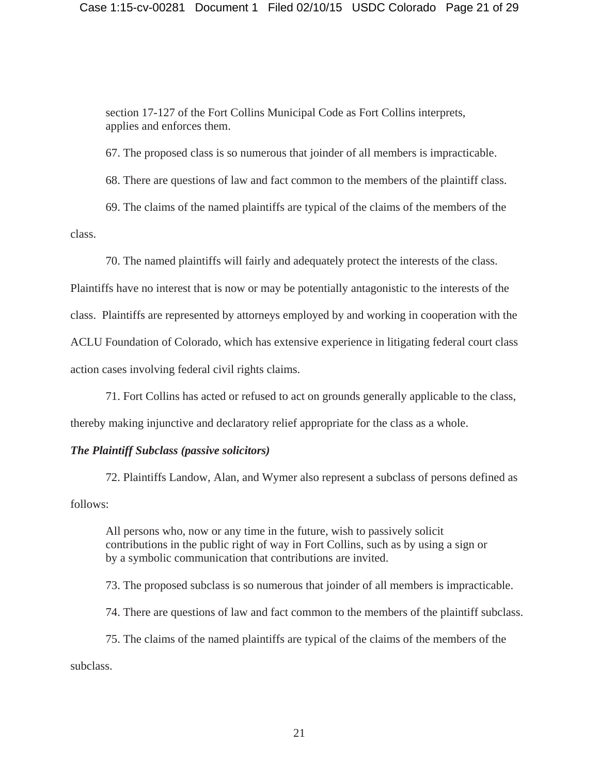section 17-127 of the Fort Collins Municipal Code as Fort Collins interprets, applies and enforces them.

67. The proposed class is so numerous that joinder of all members is impracticable.

68. There are questions of law and fact common to the members of the plaintiff class.

69. The claims of the named plaintiffs are typical of the claims of the members of the class.

70. The named plaintiffs will fairly and adequately protect the interests of the class.

Plaintiffs have no interest that is now or may be potentially antagonistic to the interests of the class. Plaintiffs are represented by attorneys employed by and working in cooperation with the ACLU Foundation of Colorado, which has extensive experience in litigating federal court class action cases involving federal civil rights claims.

71. Fort Collins has acted or refused to act on grounds generally applicable to the class, thereby making injunctive and declaratory relief appropriate for the class as a whole.

# *The Plaintiff Subclass (passive solicitors)*

72. Plaintiffs Landow, Alan, and Wymer also represent a subclass of persons defined as follows:

All persons who, now or any time in the future, wish to passively solicit contributions in the public right of way in Fort Collins, such as by using a sign or by a symbolic communication that contributions are invited.

73. The proposed subclass is so numerous that joinder of all members is impracticable.

74. There are questions of law and fact common to the members of the plaintiff subclass.

75. The claims of the named plaintiffs are typical of the claims of the members of the

subclass.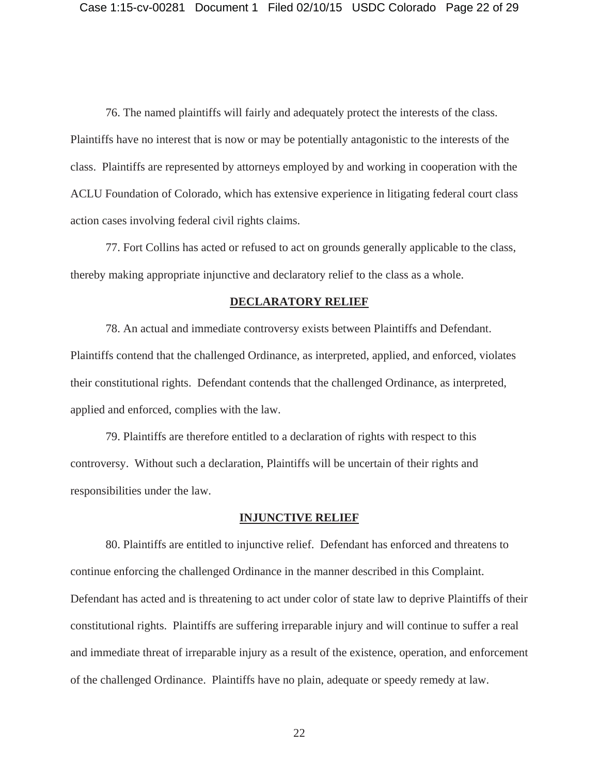76. The named plaintiffs will fairly and adequately protect the interests of the class. Plaintiffs have no interest that is now or may be potentially antagonistic to the interests of the class. Plaintiffs are represented by attorneys employed by and working in cooperation with the ACLU Foundation of Colorado, which has extensive experience in litigating federal court class action cases involving federal civil rights claims.

77. Fort Collins has acted or refused to act on grounds generally applicable to the class, thereby making appropriate injunctive and declaratory relief to the class as a whole.

#### **DECLARATORY RELIEF**

78. An actual and immediate controversy exists between Plaintiffs and Defendant. Plaintiffs contend that the challenged Ordinance, as interpreted, applied, and enforced, violates their constitutional rights. Defendant contends that the challenged Ordinance, as interpreted, applied and enforced, complies with the law.

79. Plaintiffs are therefore entitled to a declaration of rights with respect to this controversy. Without such a declaration, Plaintiffs will be uncertain of their rights and responsibilities under the law.

#### **INJUNCTIVE RELIEF**

80. Plaintiffs are entitled to injunctive relief. Defendant has enforced and threatens to continue enforcing the challenged Ordinance in the manner described in this Complaint. Defendant has acted and is threatening to act under color of state law to deprive Plaintiffs of their constitutional rights. Plaintiffs are suffering irreparable injury and will continue to suffer a real and immediate threat of irreparable injury as a result of the existence, operation, and enforcement of the challenged Ordinance. Plaintiffs have no plain, adequate or speedy remedy at law.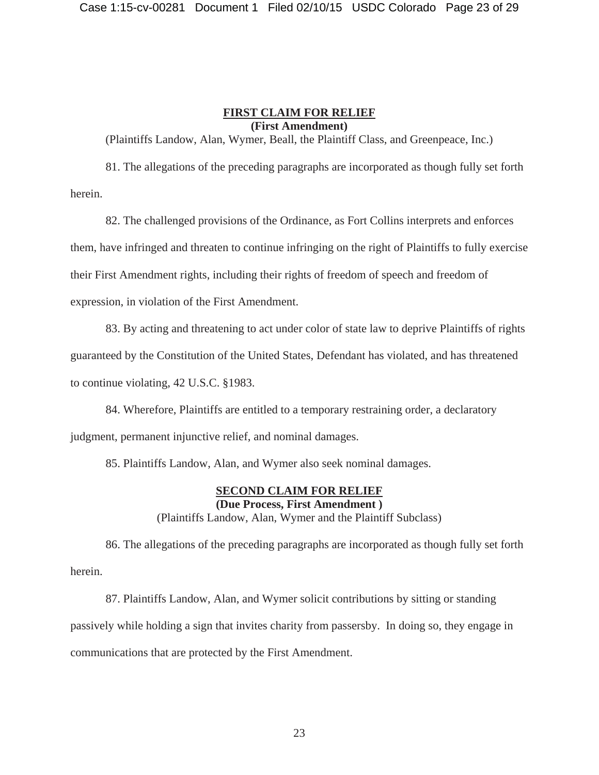# **FIRST CLAIM FOR RELIEF (First Amendment)**

(Plaintiffs Landow, Alan, Wymer, Beall, the Plaintiff Class, and Greenpeace, Inc.)

81. The allegations of the preceding paragraphs are incorporated as though fully set forth herein.

82. The challenged provisions of the Ordinance, as Fort Collins interprets and enforces them, have infringed and threaten to continue infringing on the right of Plaintiffs to fully exercise their First Amendment rights, including their rights of freedom of speech and freedom of expression, in violation of the First Amendment.

83. By acting and threatening to act under color of state law to deprive Plaintiffs of rights guaranteed by the Constitution of the United States, Defendant has violated, and has threatened to continue violating, 42 U.S.C. §1983.

84. Wherefore, Plaintiffs are entitled to a temporary restraining order, a declaratory judgment, permanent injunctive relief, and nominal damages.

85. Plaintiffs Landow, Alan, and Wymer also seek nominal damages.

# **SECOND CLAIM FOR RELIEF (Due Process, First Amendment )**

(Plaintiffs Landow, Alan, Wymer and the Plaintiff Subclass)

86. The allegations of the preceding paragraphs are incorporated as though fully set forth herein.

87. Plaintiffs Landow, Alan, and Wymer solicit contributions by sitting or standing passively while holding a sign that invites charity from passersby. In doing so, they engage in communications that are protected by the First Amendment.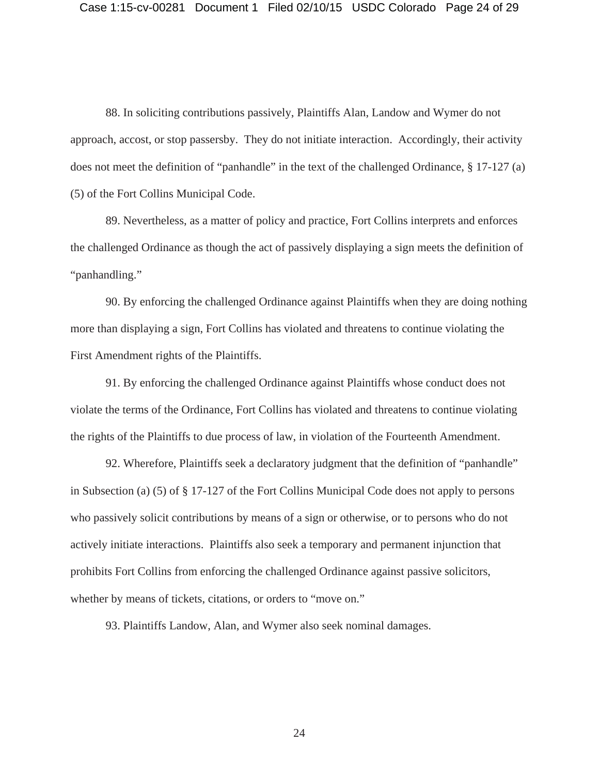88. In soliciting contributions passively, Plaintiffs Alan, Landow and Wymer do not approach, accost, or stop passersby. They do not initiate interaction. Accordingly, their activity does not meet the definition of "panhandle" in the text of the challenged Ordinance, § 17-127 (a) (5) of the Fort Collins Municipal Code.

89. Nevertheless, as a matter of policy and practice, Fort Collins interprets and enforces the challenged Ordinance as though the act of passively displaying a sign meets the definition of "panhandling."

90. By enforcing the challenged Ordinance against Plaintiffs when they are doing nothing more than displaying a sign, Fort Collins has violated and threatens to continue violating the First Amendment rights of the Plaintiffs.

91. By enforcing the challenged Ordinance against Plaintiffs whose conduct does not violate the terms of the Ordinance, Fort Collins has violated and threatens to continue violating the rights of the Plaintiffs to due process of law, in violation of the Fourteenth Amendment.

92. Wherefore, Plaintiffs seek a declaratory judgment that the definition of "panhandle" in Subsection (a) (5) of § 17-127 of the Fort Collins Municipal Code does not apply to persons who passively solicit contributions by means of a sign or otherwise, or to persons who do not actively initiate interactions. Plaintiffs also seek a temporary and permanent injunction that prohibits Fort Collins from enforcing the challenged Ordinance against passive solicitors, whether by means of tickets, citations, or orders to "move on."

93. Plaintiffs Landow, Alan, and Wymer also seek nominal damages.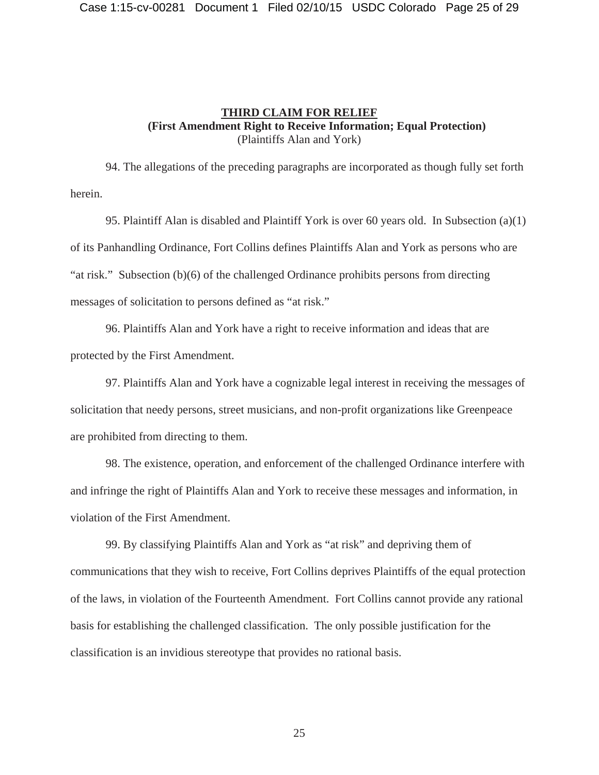# **THIRD CLAIM FOR RELIEF (First Amendment Right to Receive Information; Equal Protection)**  (Plaintiffs Alan and York)

94. The allegations of the preceding paragraphs are incorporated as though fully set forth herein.

95. Plaintiff Alan is disabled and Plaintiff York is over 60 years old. In Subsection (a)(1) of its Panhandling Ordinance, Fort Collins defines Plaintiffs Alan and York as persons who are "at risk." Subsection (b)(6) of the challenged Ordinance prohibits persons from directing messages of solicitation to persons defined as "at risk."

96. Plaintiffs Alan and York have a right to receive information and ideas that are protected by the First Amendment.

97. Plaintiffs Alan and York have a cognizable legal interest in receiving the messages of solicitation that needy persons, street musicians, and non-profit organizations like Greenpeace are prohibited from directing to them.

98. The existence, operation, and enforcement of the challenged Ordinance interfere with and infringe the right of Plaintiffs Alan and York to receive these messages and information, in violation of the First Amendment.

99. By classifying Plaintiffs Alan and York as "at risk" and depriving them of communications that they wish to receive, Fort Collins deprives Plaintiffs of the equal protection of the laws, in violation of the Fourteenth Amendment. Fort Collins cannot provide any rational basis for establishing the challenged classification. The only possible justification for the classification is an invidious stereotype that provides no rational basis.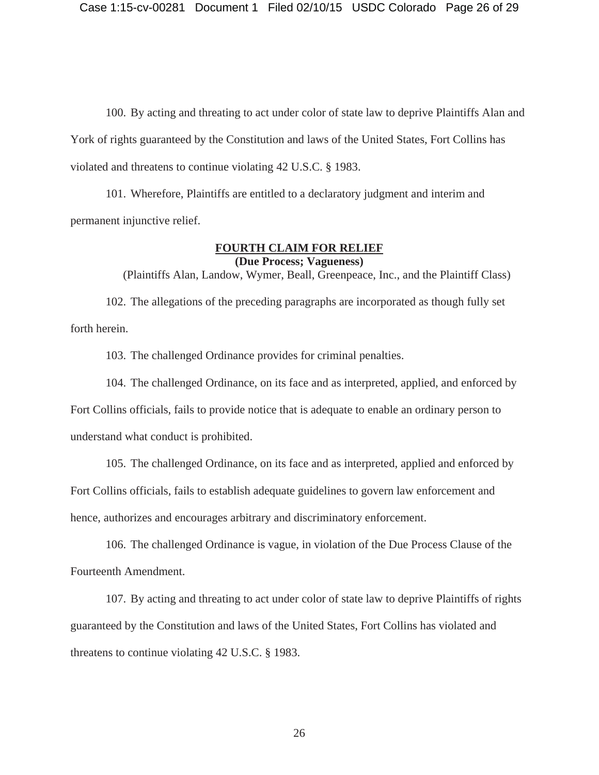100. By acting and threating to act under color of state law to deprive Plaintiffs Alan and York of rights guaranteed by the Constitution and laws of the United States, Fort Collins has violated and threatens to continue violating 42 U.S.C. § 1983.

101. Wherefore, Plaintiffs are entitled to a declaratory judgment and interim and permanent injunctive relief.

# **FOURTH CLAIM FOR RELIEF (Due Process; Vagueness)**

(Plaintiffs Alan, Landow, Wymer, Beall, Greenpeace, Inc., and the Plaintiff Class)

102. The allegations of the preceding paragraphs are incorporated as though fully set forth herein.

103. The challenged Ordinance provides for criminal penalties.

104. The challenged Ordinance, on its face and as interpreted, applied, and enforced by

Fort Collins officials, fails to provide notice that is adequate to enable an ordinary person to understand what conduct is prohibited.

105. The challenged Ordinance, on its face and as interpreted, applied and enforced by Fort Collins officials, fails to establish adequate guidelines to govern law enforcement and hence, authorizes and encourages arbitrary and discriminatory enforcement.

106. The challenged Ordinance is vague, in violation of the Due Process Clause of the Fourteenth Amendment.

107. By acting and threating to act under color of state law to deprive Plaintiffs of rights guaranteed by the Constitution and laws of the United States, Fort Collins has violated and threatens to continue violating 42 U.S.C. § 1983.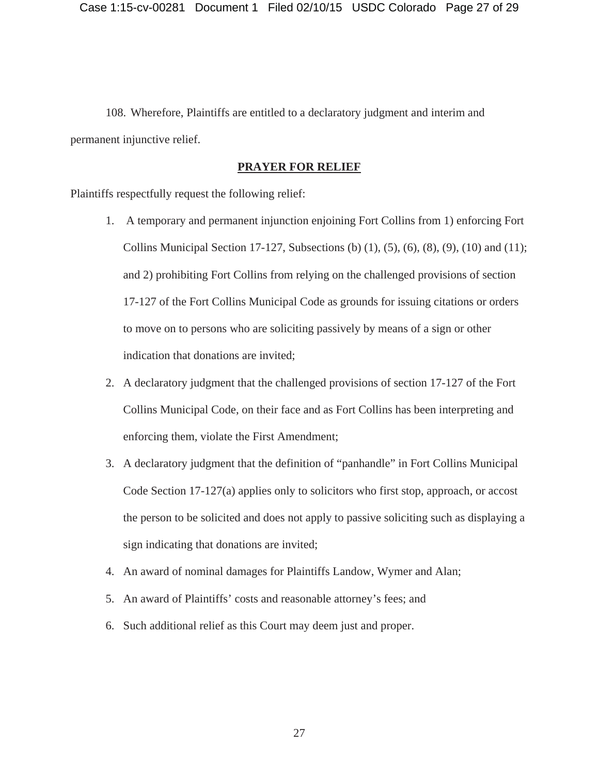108. Wherefore, Plaintiffs are entitled to a declaratory judgment and interim and permanent injunctive relief.

# **PRAYER FOR RELIEF**

Plaintiffs respectfully request the following relief:

- 1. A temporary and permanent injunction enjoining Fort Collins from 1) enforcing Fort Collins Municipal Section 17-127, Subsections (b)  $(1)$ ,  $(5)$ ,  $(6)$ ,  $(8)$ ,  $(9)$ ,  $(10)$  and  $(11)$ ; and 2) prohibiting Fort Collins from relying on the challenged provisions of section 17-127 of the Fort Collins Municipal Code as grounds for issuing citations or orders to move on to persons who are soliciting passively by means of a sign or other indication that donations are invited;
- 2. A declaratory judgment that the challenged provisions of section 17-127 of the Fort Collins Municipal Code, on their face and as Fort Collins has been interpreting and enforcing them, violate the First Amendment;
- 3. A declaratory judgment that the definition of "panhandle" in Fort Collins Municipal Code Section 17-127(a) applies only to solicitors who first stop, approach, or accost the person to be solicited and does not apply to passive soliciting such as displaying a sign indicating that donations are invited;
- 4. An award of nominal damages for Plaintiffs Landow, Wymer and Alan;
- 5. An award of Plaintiffs' costs and reasonable attorney's fees; and
- 6. Such additional relief as this Court may deem just and proper.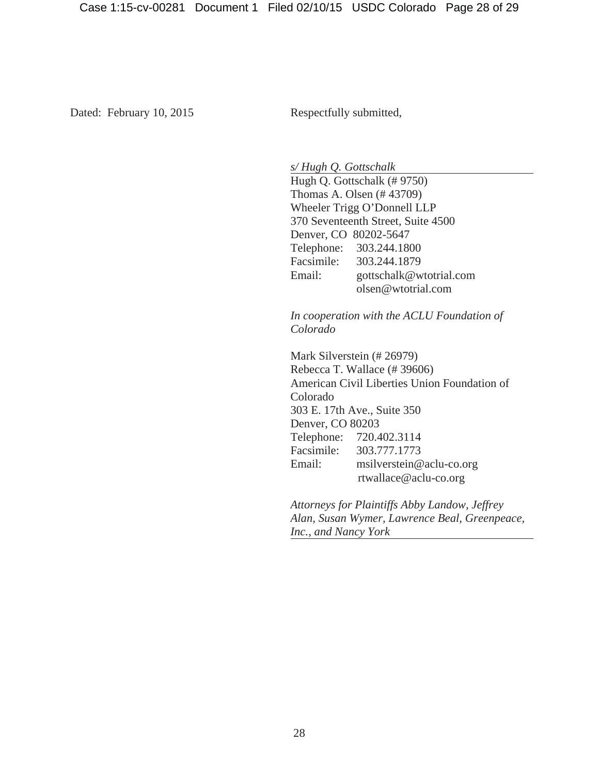Dated: February 10, 2015 Respectfully submitted,

*s/ Hugh Q. Gottschalk* 

 Hugh Q. Gottschalk (# 9750) Thomas A. Olsen (# 43709) Wheeler Trigg O'Donnell LLP 370 Seventeenth Street, Suite 4500 Denver, CO 80202-5647 Telephone: 303.244.1800 Facsimile: 303.244.1879 Email: gottschalk@wtotrial.com olsen@wtotrial.com

*In cooperation with the ACLU Foundation of Colorado*

Mark Silverstein (# 26979) Rebecca T. Wallace (# 39606) American Civil Liberties Union Foundation of Colorado 303 E. 17th Ave., Suite 350 Denver, CO 80203 Telephone: 720.402.3114 Facsimile: 303.777.1773 Email: msilverstein@aclu-co.org rtwallace@aclu-co.org

*Attorneys for Plaintiffs Abby Landow, Jeffrey Alan, Susan Wymer, Lawrence Beal, Greenpeace, Inc., and Nancy York*